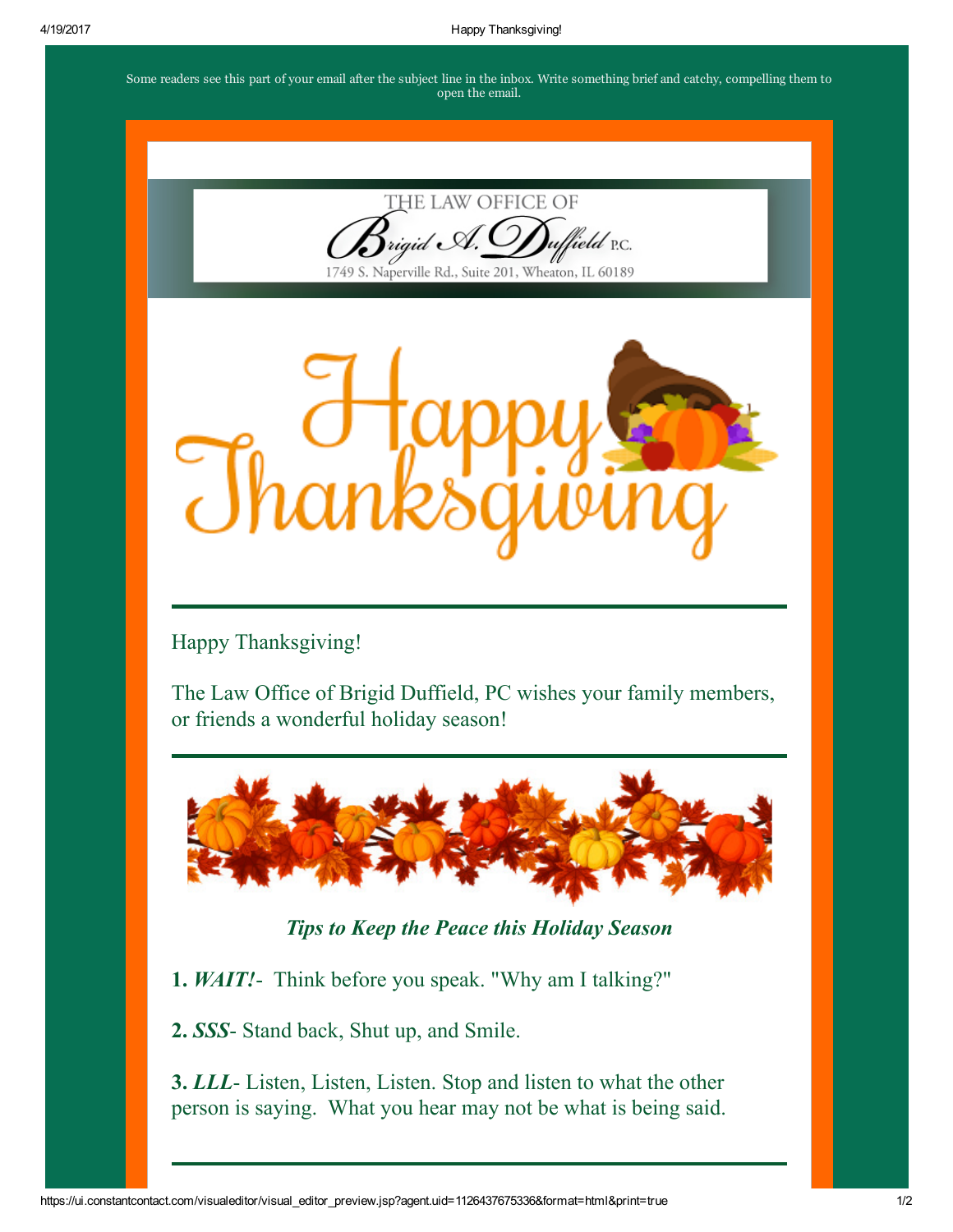Some readers see this part of your email after the subject line in the inbox. Write something brief and catchy, compelling them to open the email.



ield p.c.

1749 S. Naperville Rd., Suite 201, Wheaton, IL 60189



Happy Thanksgiving!

The Law Office of Brigid Duffield, PC wishes your family members, or friends a wonderful holiday season!



*Tips to Keep the Peace this Holiday Season*

1. *WAIT!* Think before you speak. "Why am I talking?"

2. *SSS*- Stand back, Shut up, and Smile.

3. *LLL* - Listen, Listen, Listen. Stop and listen to what the other person is saying. What you hear may not be what is being said.